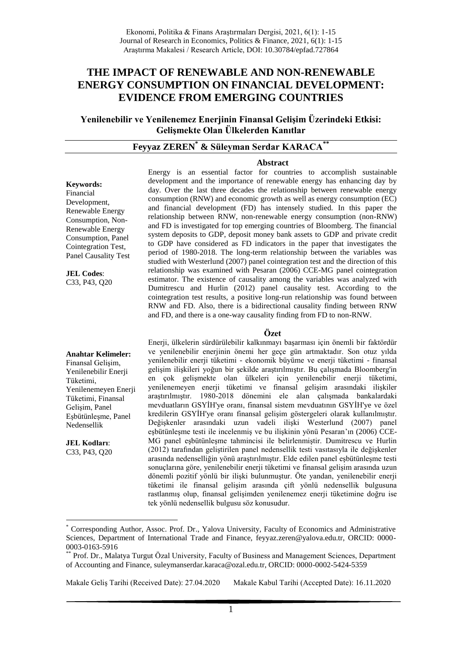# **THE IMPACT OF RENEWABLE AND NON-RENEWABLE ENERGY CONSUMPTION ON FINANCIAL DEVELOPMENT: EVIDENCE FROM EMERGING COUNTRIES**

**Yenilenebilir ve Yenilenemez Enerjinin Finansal Gelişim Üzerindeki Etkisi: Gelişmekte Olan Ülkelerden Kanıtlar**

# **Feyyaz ZEREN\* & Süleyman Serdar KARACA\*\***

#### **Abstract**

**Keywords:** Financial Development, Renewable Energy Consumption, Non-Renewable Energy Consumption, Panel Cointegration Test, Panel Causality Test

**JEL Codes**: C33, P43, Q20 Energy is an essential factor for countries to accomplish sustainable development and the importance of renewable energy has enhancing day by day. Over the last three decades the relationship between renewable energy consumption (RNW) and economic growth as well as energy consumption (EC) and financial development (FD) has intensely studied. In this paper the relationship between RNW, non-renewable energy consumption (non-RNW) and FD is investigated for top emerging countries of Bloomberg. The financial system deposits to GDP, deposit money bank assets to GDP and private credit to GDP have considered as FD indicators in the paper that investigates the period of 1980-2018. The long-term relationship between the variables was studied with Westerlund (2007) panel cointegration test and the direction of this relationship was examined with Pesaran (2006) CCE-MG panel cointegration estimator. The existence of causality among the variables was analyzed with Dumitrescu and Hurlin (2012) panel causality test. According to the cointegration test results, a positive long-run relationship was found between RNW and FD. Also, there is a bidirectional causality finding between RNW and FD, and there is a one-way causality finding from FD to non-RNW.

#### **Özet**

#### **Anahtar Kelimeler:**

Finansal Gelişim, Yenilenebilir Enerji Tüketimi, Yenilenemeyen Enerji Tüketimi, Finansal Gelişim, Panel Eşbütünleşme, Panel Nedensellik

**JEL Kodları**: C33, P43, Q20

1

Enerji, ülkelerin sürdürülebilir kalkınmayı başarması için önemli bir faktördür ve yenilenebilir enerjinin önemi her geçe gün artmaktadır. Son otuz yılda yenilenebilir enerji tüketimi - ekonomik büyüme ve enerji tüketimi - finansal gelişim ilişkileri yoğun bir şekilde araştırılmıştır. Bu çalışmada Bloomberg'in en çok gelişmekte olan ülkeleri için yenilenebilir enerji tüketimi, yenilenemeyen enerji tüketimi ve finansal gelişim arasındaki ilişkiler araştırılmıştır. 1980-2018 dönemini ele alan çalışmada bankalardaki mevduatların GSYİH'ye oranı, finansal sistem mevduatının GSYİH'ye ve özel kredilerin GSYİH'ye oranı finansal gelişim göstergeleri olarak kullanılmıştır. Değişkenler arasındaki uzun vadeli ilişki Westerlund (2007) panel eşbütünleşme testi ile incelenmiş ve bu ilişkinin yönü Pesaran'ın (2006) CCE-MG panel eşbütünleşme tahmincisi ile belirlenmiştir. Dumitrescu ve Hurlin (2012) tarafından geliştirilen panel nedensellik testi vasıtasıyla ile değişkenler arasında nedenselliğin yönü araştırılmıştır. Elde edilen panel eşbütünleşme testi sonuçlarına göre, yenilenebilir enerji tüketimi ve finansal gelişim arasında uzun dönemli pozitif yönlü bir ilişki bulunmuştur. Öte yandan, yenilenebilir enerji tüketimi ile finansal gelişim arasında çift yönlü nedensellik bulgusuna rastlanmış olup, finansal gelişimden yenilenemez enerji tüketimine doğru ise tek yönlü nedensellik bulgusu söz konusudur.

Makale Geliş Tarihi (Received Date): 27.04.2020 Makale Kabul Tarihi (Accepted Date): 16.11.2020

<sup>\*</sup> Corresponding Author, Assoc. Prof. Dr., Yalova University, Faculty of Economics and Administrative Sciences, Department of International Trade and Finance, feyyaz.zeren@yalova.edu.tr, ORCID: 0000- 0003-0163-5916

Prof. Dr., Malatya Turgut Özal University, Faculty of Business and Management Sciences, Department of Accounting and Finance, suleymanserdar.karaca@ozal.edu.tr, ORCID: 0000-0002-5424-5359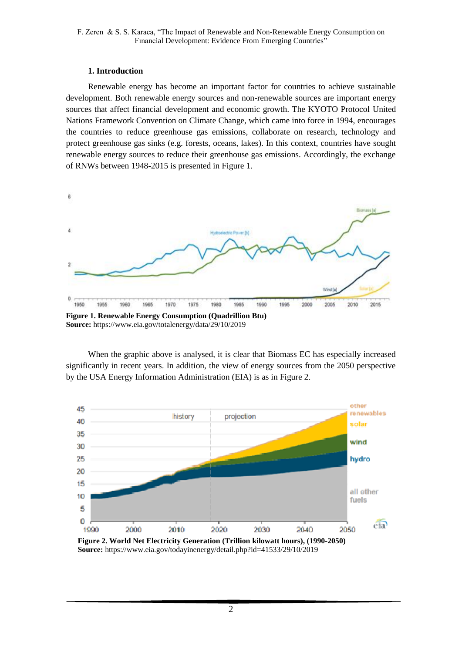### **1. Introduction**

Renewable energy has become an important factor for countries to achieve sustainable development. Both renewable energy sources and non-renewable sources are important energy sources that affect financial development and economic growth. The KYOTO Protocol United Nations Framework Convention on Climate Change, which came into force in 1994, encourages the countries to reduce greenhouse gas emissions, collaborate on research, technology and protect greenhouse gas sinks (e.g. forests, oceans, lakes). In this context, countries have sought renewable energy sources to reduce their greenhouse gas emissions. Accordingly, the exchange of RNWs between 1948-2015 is presented in Figure 1.



**Source:** https://www.eia.gov/totalenergy/data/29/10/2019

When the graphic above is analysed, it is clear that Biomass EC has especially increased significantly in recent years. In addition, the view of energy sources from the 2050 perspective by the USA Energy Information Administration (EIA) is as in Figure 2.



 **Source:** https://www.eia.gov/todayinenergy/detail.php?id=41533/29/10/2019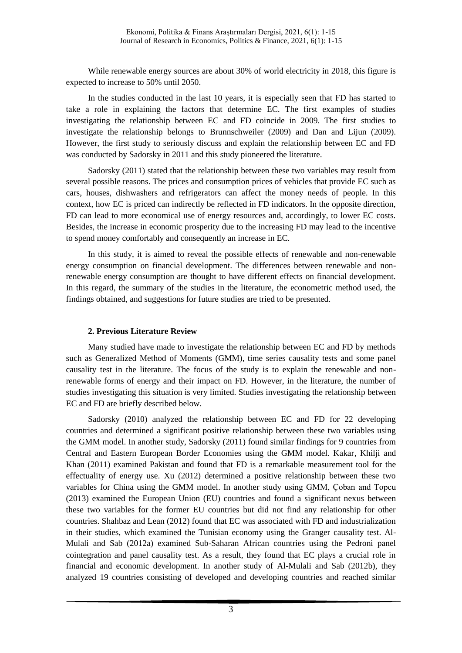While renewable energy sources are about 30% of world electricity in 2018, this figure is expected to increase to 50% until 2050.

In the studies conducted in the last 10 years, it is especially seen that FD has started to take a role in explaining the factors that determine EC. The first examples of studies investigating the relationship between EC and FD coincide in 2009. The first studies to investigate the relationship belongs to Brunnschweiler (2009) and Dan and Lijun (2009). However, the first study to seriously discuss and explain the relationship between EC and FD was conducted by Sadorsky in 2011 and this study pioneered the literature.

Sadorsky (2011) stated that the relationship between these two variables may result from several possible reasons. The prices and consumption prices of vehicles that provide EC such as cars, houses, dishwashers and refrigerators can affect the money needs of people. In this context, how EC is priced can indirectly be reflected in FD indicators. In the opposite direction, FD can lead to more economical use of energy resources and, accordingly, to lower EC costs. Besides, the increase in economic prosperity due to the increasing FD may lead to the incentive to spend money comfortably and consequently an increase in EC.

In this study, it is aimed to reveal the possible effects of renewable and non-renewable energy consumption on financial development. The differences between renewable and nonrenewable energy consumption are thought to have different effects on financial development. In this regard, the summary of the studies in the literature, the econometric method used, the findings obtained, and suggestions for future studies are tried to be presented.

### **2. Previous Literature Review**

Many studied have made to investigate the relationship between EC and FD by methods such as Generalized Method of Moments (GMM), time series causality tests and some panel causality test in the literature. The focus of the study is to explain the renewable and nonrenewable forms of energy and their impact on FD. However, in the literature, the number of studies investigating this situation is very limited. Studies investigating the relationship between EC and FD are briefly described below.

Sadorsky (2010) analyzed the relationship between EC and FD for 22 developing countries and determined a significant positive relationship between these two variables using the GMM model. In another study, Sadorsky (2011) found similar findings for 9 countries from Central and Eastern European Border Economies using the GMM model. Kakar, Khilji and Khan (2011) examined Pakistan and found that FD is a remarkable measurement tool for the effectuality of energy use. Xu (2012) determined a positive relationship between these two variables for China using the GMM model. In another study using GMM, Çoban and Topcu (2013) examined the European Union (EU) countries and found a significant nexus between these two variables for the former EU countries but did not find any relationship for other countries. Shahbaz and Lean (2012) found that EC was associated with FD and industrialization in their studies, which examined the Tunisian economy using the Granger causality test. Al-Mulali and Sab (2012a) examined Sub-Saharan African countries using the Pedroni panel cointegration and panel causality test. As a result, they found that EC plays a crucial role in financial and economic development. In another study of Al-Mulali and Sab (2012b), they analyzed 19 countries consisting of developed and developing countries and reached similar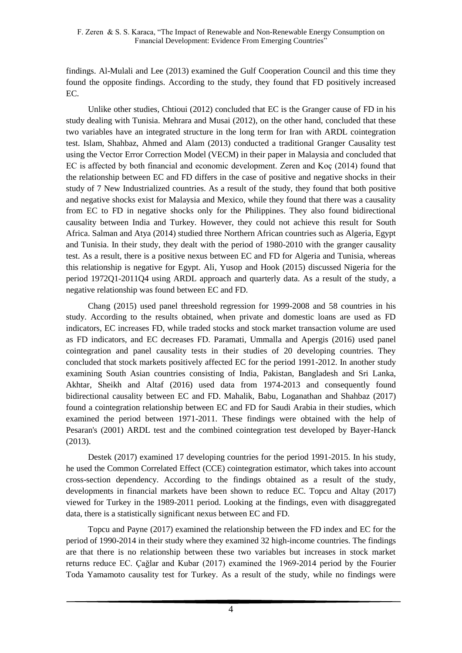findings. Al-Mulali and Lee (2013) examined the Gulf Cooperation Council and this time they found the opposite findings. According to the study, they found that FD positively increased EC.

Unlike other studies, Chtioui (2012) concluded that EC is the Granger cause of FD in his study dealing with Tunisia. Mehrara and Musai (2012), on the other hand, concluded that these two variables have an integrated structure in the long term for Iran with ARDL cointegration test. Islam, Shahbaz, Ahmed and Alam (2013) conducted a traditional Granger Causality test using the Vector Error Correction Model (VECM) in their paper in Malaysia and concluded that EC is affected by both financial and economic development. Zeren and Koç (2014) found that the relationship between EC and FD differs in the case of positive and negative shocks in their study of 7 New Industrialized countries. As a result of the study, they found that both positive and negative shocks exist for Malaysia and Mexico, while they found that there was a causality from EC to FD in negative shocks only for the Philippines. They also found bidirectional causality between India and Turkey. However, they could not achieve this result for South Africa. Salman and Atya (2014) studied three Northern African countries such as Algeria, Egypt and Tunisia. In their study, they dealt with the period of 1980-2010 with the granger causality test. As a result, there is a positive nexus between EC and FD for Algeria and Tunisia, whereas this relationship is negative for Egypt. Ali, Yusop and Hook (2015) discussed Nigeria for the period 1972Q1-2011Q4 using ARDL approach and quarterly data. As a result of the study, a negative relationship was found between EC and FD.

Chang (2015) used panel threeshold regression for 1999-2008 and 58 countries in his study. According to the results obtained, when private and domestic loans are used as FD indicators, EC increases FD, while traded stocks and stock market transaction volume are used as FD indicators, and EC decreases FD. Paramati, Ummalla and Apergis (2016) used panel cointegration and panel causality tests in their studies of 20 developing countries. They concluded that stock markets positively affected EC for the period 1991-2012. In another study examining South Asian countries consisting of India, Pakistan, Bangladesh and Sri Lanka, Akhtar, Sheikh and Altaf (2016) used data from 1974-2013 and consequently found bidirectional causality between EC and FD. Mahalik, Babu, Loganathan and Shahbaz (2017) found a cointegration relationship between EC and FD for Saudi Arabia in their studies, which examined the period between 1971-2011. These findings were obtained with the help of Pesaran's (2001) ARDL test and the combined cointegration test developed by Bayer-Hanck (2013).

Destek (2017) examined 17 developing countries for the period 1991-2015. In his study, he used the Common Correlated Effect (CCE) cointegration estimator, which takes into account cross-section dependency. According to the findings obtained as a result of the study, developments in financial markets have been shown to reduce EC. Topcu and Altay (2017) viewed for Turkey in the 1989-2011 period. Looking at the findings, even with disaggregated data, there is a statistically significant nexus between EC and FD.

Topcu and Payne (2017) examined the relationship between the FD index and EC for the period of 1990-2014 in their study where they examined 32 high-income countries. The findings are that there is no relationship between these two variables but increases in stock market returns reduce EC. Çağlar and Kubar (2017) examined the 1969-2014 period by the Fourier Toda Yamamoto causality test for Turkey. As a result of the study, while no findings were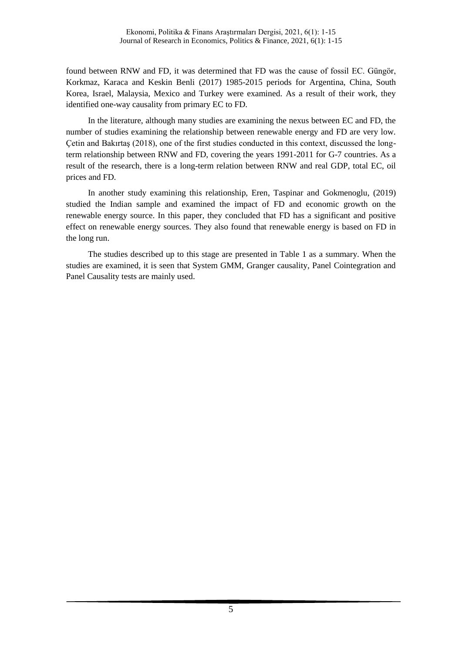found between RNW and FD, it was determined that FD was the cause of fossil EC. Güngör, Korkmaz, Karaca and Keskin Benli (2017) 1985-2015 periods for Argentina, China, South Korea, Israel, Malaysia, Mexico and Turkey were examined. As a result of their work, they identified one-way causality from primary EC to FD.

In the literature, although many studies are examining the nexus between EC and FD, the number of studies examining the relationship between renewable energy and FD are very low. Çetin and Bakırtaş (2018), one of the first studies conducted in this context, discussed the longterm relationship between RNW and FD, covering the years 1991-2011 for G-7 countries. As a result of the research, there is a long-term relation between RNW and real GDP, total EC, oil prices and FD.

In another study examining this relationship, Eren, Taspinar and Gokmenoglu, (2019) studied the Indian sample and examined the impact of FD and economic growth on the renewable energy source. In this paper, they concluded that FD has a significant and positive effect on renewable energy sources. They also found that renewable energy is based on FD in the long run.

The studies described up to this stage are presented in Table 1 as a summary. When the studies are examined, it is seen that System GMM, Granger causality, Panel Cointegration and Panel Causality tests are mainly used.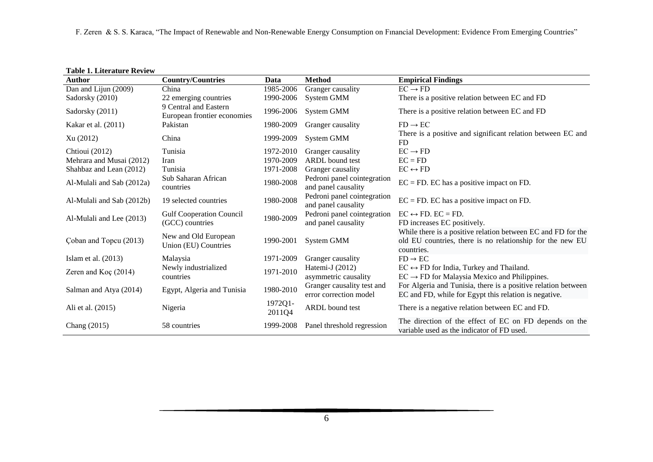|  |  | <b>Table 1. Literature Review</b> |  |
|--|--|-----------------------------------|--|
|--|--|-----------------------------------|--|

| Author                    | <b>Country/Countries</b>                             | Data              | <b>Method</b>                                        | <b>Empirical Findings</b>                                                                                                               |
|---------------------------|------------------------------------------------------|-------------------|------------------------------------------------------|-----------------------------------------------------------------------------------------------------------------------------------------|
| Dan and Lijun (2009)      | China                                                | 1985-2006         | Granger causality                                    | $EC \rightarrow FD$                                                                                                                     |
| Sadorsky (2010)           | 22 emerging countries                                | 1990-2006         | System GMM                                           | There is a positive relation between EC and FD                                                                                          |
| Sadorsky (2011)           | 9 Central and Eastern<br>European frontier economies | 1996-2006         | System GMM                                           | There is a positive relation between EC and FD                                                                                          |
| Kakar et al. (2011)       | Pakistan                                             | 1980-2009         | Granger causality                                    | $FD \rightarrow EC$                                                                                                                     |
| Xu (2012)                 | China                                                | 1999-2009         | System GMM                                           | There is a positive and significant relation between EC and<br>FD                                                                       |
| Chtioui (2012)            | Tunisia                                              | 1972-2010         | Granger causality                                    | $EC \rightarrow FD$                                                                                                                     |
| Mehrara and Musai (2012)  | Iran                                                 | 1970-2009         | ARDL bound test                                      | $EC = FD$                                                                                                                               |
| Shahbaz and Lean (2012)   | Tunisia                                              | 1971-2008         | Granger causality                                    | $EC \leftrightarrow FD$                                                                                                                 |
| Al-Mulali and Sab (2012a) | Sub Saharan African<br>countries                     | 1980-2008         | Pedroni panel cointegration<br>and panel causality   | $EC = FD$ . EC has a positive impact on FD.                                                                                             |
| Al-Mulali and Sab (2012b) | 19 selected countries                                | 1980-2008         | Pedroni panel cointegration<br>and panel causality   | $EC = FD$ . EC has a positive impact on FD.                                                                                             |
| Al-Mulali and Lee (2013)  | <b>Gulf Cooperation Council</b>                      | 1980-2009         | Pedroni panel cointegration                          | $EC \leftrightarrow FD. EC = FD.$                                                                                                       |
|                           | (GCC) countries                                      |                   | and panel causality                                  | FD increases EC positively.                                                                                                             |
| Coban and Topcu (2013)    | New and Old European<br>Union (EU) Countries         | 1990-2001         | System GMM                                           | While there is a positive relation between EC and FD for the<br>old EU countries, there is no relationship for the new EU<br>countries. |
| Islam et al. $(2013)$     | Malaysia                                             | 1971-2009         | Granger causality                                    | $FD \rightarrow EC$                                                                                                                     |
|                           | Newly industrialized                                 | 1971-2010         | Hatemi-J (2012)                                      | $EC \leftrightarrow FD$ for India, Turkey and Thailand.                                                                                 |
| Zeren and $Kog(2014)$     | countries                                            |                   | asymmetric causality                                 | $EC \rightarrow FD$ for Malaysia Mexico and Philippines.                                                                                |
| Salman and Atya (2014)    | Egypt, Algeria and Tunisia                           | 1980-2010         | Granger causality test and<br>error correction model | For Algeria and Tunisia, there is a positive relation between<br>EC and FD, while for Egypt this relation is negative.                  |
| Ali et al. (2015)         | Nigeria                                              | 1972Q1-<br>2011Q4 | ARDL bound test                                      | There is a negative relation between EC and FD.                                                                                         |
| Chang (2015)              | 58 countries                                         | 1999-2008         | Panel threshold regression                           | The direction of the effect of EC on FD depends on the<br>variable used as the indicator of FD used.                                    |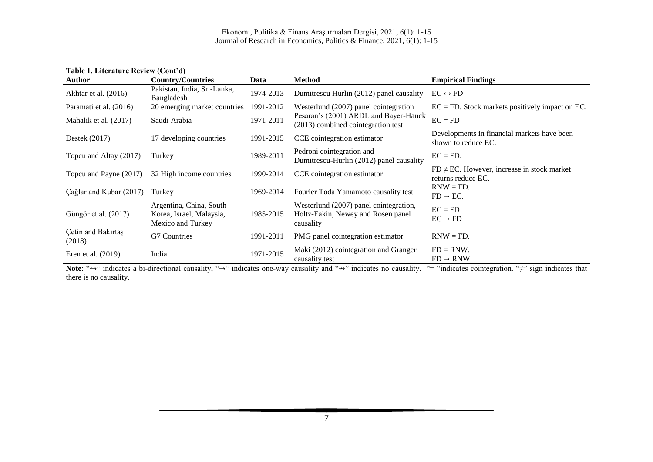#### Ekonomi, Politika & Finans Araştırmaları Dergisi, 2021, 6(1): 1-15 Journal of Research in Economics, Politics & Finance, 2021, 6(1): 1-15

**Table 1. Literature Review (Cont'd)**

| <b>Author</b>                | <b>Country/Countries</b>                                                 | Data      | <b>Method</b>                                                                             | <b>Empirical Findings</b>                                              |
|------------------------------|--------------------------------------------------------------------------|-----------|-------------------------------------------------------------------------------------------|------------------------------------------------------------------------|
| Akhtar et al. (2016)         | Pakistan, India, Sri-Lanka,<br>Bangladesh                                | 1974-2013 | Dumitrescu Hurlin (2012) panel causality                                                  | $EC \leftrightarrow FD$                                                |
| Paramati et al. (2016)       | 20 emerging market countries                                             | 1991-2012 | Westerlund (2007) panel cointegration                                                     | $EC = FD$ . Stock markets positively impact on EC.                     |
| Mahalik et al. (2017)        | Saudi Arabia                                                             | 1971-2011 | Pesaran's (2001) ARDL and Bayer-Hanck<br>(2013) combined cointegration test               | $EC = FD$                                                              |
| Destek $(2017)$              | 17 developing countries                                                  | 1991-2015 | CCE cointegration estimator                                                               | Developments in financial markets have been<br>shown to reduce EC.     |
| Topcu and Altay (2017)       | Turkey                                                                   | 1989-2011 | Pedroni cointegration and<br>Dumitrescu-Hurlin (2012) panel causality                     | $EC = FD$ .                                                            |
| Topcu and Payne (2017)       | 32 High income countries                                                 | 1990-2014 | CCE cointegration estimator                                                               | $FD \neq EC$ . However, increase in stock market<br>returns reduce EC. |
| Çağlar and Kubar (2017)      | Turkey                                                                   | 1969-2014 | Fourier Toda Yamamoto causality test                                                      | $RNW = FD$ .<br>$FD \rightarrow EC$ .                                  |
| Güngör et al. (2017)         | Argentina, China, South<br>Korea, Israel, Malaysia,<br>Mexico and Turkey | 1985-2015 | Westerlund (2007) panel cointegration,<br>Holtz-Eakin, Newey and Rosen panel<br>causality | $EC = FD$<br>$EC \rightarrow FD$                                       |
| Cetin and Bakırtaş<br>(2018) | G7 Countries                                                             | 1991-2011 | PMG panel cointegration estimator                                                         | $RNW = FD.$                                                            |
| Eren et al. $(2019)$         | India                                                                    | 1971-2015 | Maki (2012) cointegration and Granger<br>causality test                                   | $FD = RNW$ .<br>$FD \rightarrow RNW$                                   |

Note: " $\leftrightarrow$ " indicates a bi-directional causality, "→" indicates one-way causality and "<sup>→"</sup> indicates no causality. "= "indicates cointegration. "≠" sign indicates that there is no causality.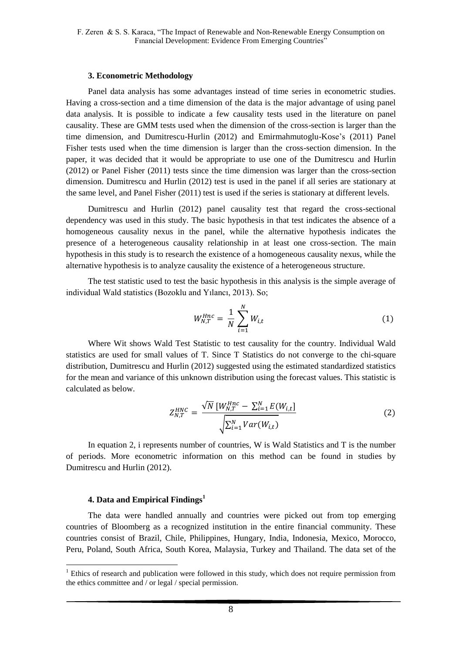### **3. Econometric Methodology**

Panel data analysis has some advantages instead of time series in econometric studies. Having a cross-section and a time dimension of the data is the major advantage of using panel data analysis. It is possible to indicate a few causality tests used in the literature on panel causality. These are GMM tests used when the dimension of the cross-section is larger than the time dimension, and Dumitrescu-Hurlin (2012) and Emirmahmutoglu-Kose's (2011) Panel Fisher tests used when the time dimension is larger than the cross-section dimension. In the paper, it was decided that it would be appropriate to use one of the Dumitrescu and Hurlin (2012) or Panel Fisher (2011) tests since the time dimension was larger than the cross-section dimension. Dumitrescu and Hurlin (2012) test is used in the panel if all series are stationary at the same level, and Panel Fisher (2011) test is used if the series is stationary at different levels.

Dumitrescu and Hurlin (2012) panel causality test that regard the cross-sectional dependency was used in this study. The basic hypothesis in that test indicates the absence of a homogeneous causality nexus in the panel, while the alternative hypothesis indicates the presence of a heterogeneous causality relationship in at least one cross-section. The main hypothesis in this study is to research the existence of a homogeneous causality nexus, while the alternative hypothesis is to analyze causality the existence of a heterogeneous structure.

The test statistic used to test the basic hypothesis in this analysis is the simple average of individual Wald statistics (Bozoklu and Yılancı, 2013). So;

$$
W_{N,T}^{Hnc} = \frac{1}{N} \sum_{i=1}^{N} W_{i,t}
$$
 (1)

Where Wit shows Wald Test Statistic to test causality for the country. Individual Wald statistics are used for small values of T. Since T Statistics do not converge to the chi-square distribution, Dumitrescu and Hurlin (2012) suggested using the estimated standardized statistics for the mean and variance of this unknown distribution using the forecast values. This statistic is calculated as below.

$$
Z_{N,T}^{HNC} = \frac{\sqrt{N} \left[ W_{N,T}^{Hnc} - \sum_{i=1}^{N} E(W_{i,t}) \right]}{\sqrt{\sum_{i=1}^{N} Var(W_{i,t})}}
$$
(2)

In equation 2, i represents number of countries, W is Wald Statistics and T is the number of periods. More econometric information on this method can be found in studies by Dumitrescu and Hurlin (2012).

### **4. Data and Empirical Findings<sup>1</sup>**

<u>.</u>

The data were handled annually and countries were picked out from top emerging countries of Bloomberg as a recognized institution in the entire financial community. These countries consist of Brazil, Chile, Philippines, Hungary, India, Indonesia, Mexico, Morocco, Peru, Poland, South Africa, South Korea, Malaysia, Turkey and Thailand. The data set of the

 $<sup>1</sup>$  Ethics of research and publication were followed in this study, which does not require permission from</sup> the ethics committee and / or legal / special permission.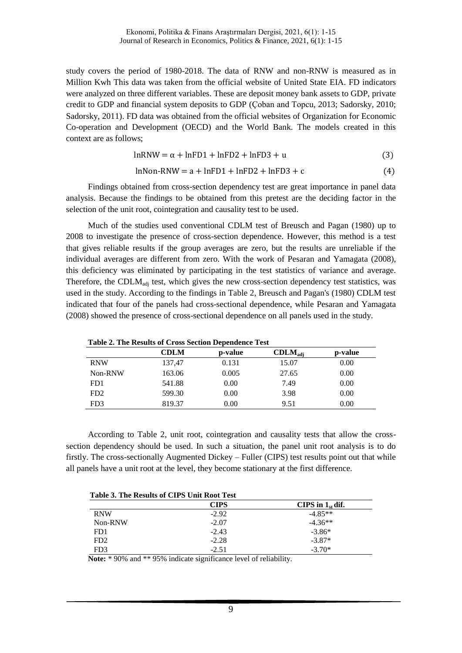Ekonomi, Politika & Finans Araştırmaları Dergisi, 2021, 6(1): 1-15 Journal of Research in Economics, Politics & Finance, 2021, 6(1): 1-15

study covers the period of 1980-2018. The data of RNW and non-RNW is measured as in Million Kwh This data was taken from the official website of United State EIA. FD indicators were analyzed on three different variables. These are deposit money bank assets to GDP, private credit to GDP and financial system deposits to GDP (Çoban and Topcu, 2013; Sadorsky, 2010; Sadorsky, 2011). FD data was obtained from the official websites of Organization for Economic Co-operation and Development (OECD) and the World Bank. The models created in this context are as follows;

$$
lnRNW = \alpha + lnFD1 + lnFD2 + lnFD3 + u \tag{3}
$$

$$
lnNon-RNW = a + lnFD1 + lnFD2 + lnFD3 + c \tag{4}
$$

Findings obtained from cross-section dependency test are great importance in panel data analysis. Because the findings to be obtained from this pretest are the deciding factor in the selection of the unit root, cointegration and causality test to be used.

Much of the studies used conventional CDLM test of Breusch and Pagan (1980) up to 2008 to investigate the presence of cross-section dependence. However, this method is a test that gives reliable results if the group averages are zero, but the results are unreliable if the individual averages are different from zero. With the work of Pesaran and Yamagata (2008), this deficiency was eliminated by participating in the test statistics of variance and average. Therefore, the CDLM<sub>adi</sub> test, which gives the new cross-section dependency test statistics, was used in the study. According to the findings in Table 2, Breusch and Pagan's (1980) CDLM test indicated that four of the panels had cross-sectional dependence, while Pesaran and Yamagata (2008) showed the presence of cross-sectional dependence on all panels used in the study.

| Table 2. The Results of Cross Section Dependence Test |             |         |                     |         |  |
|-------------------------------------------------------|-------------|---------|---------------------|---------|--|
|                                                       | <b>CDLM</b> | p-value | $CDLM_{\text{adi}}$ | p-value |  |
| <b>RNW</b>                                            | 137,47      | 0.131   | 15.07               | 0.00    |  |
| Non-RNW                                               | 163.06      | 0.005   | 27.65               | 0.00    |  |
| FD1                                                   | 541.88      | 0.00    | 7.49                | 0.00    |  |
| FD2                                                   | 599.30      | 0.00    | 3.98                | 0.00    |  |
| FD3                                                   | 819.37      | 0.00    | 9.51                | 0.00    |  |

**Table 2. The Results of Cross Section Dependence Test**

According to Table 2, unit root, cointegration and causality tests that allow the crosssection dependency should be used. In such a situation, the panel unit root analysis is to do firstly. The cross-sectionally Augmented Dickey – Fuller (CIPS) test results point out that while all panels have a unit root at the level, they become stationary at the first difference.

| Table 3. The Results of CIPS Unit Root Test |  |  |  |  |
|---------------------------------------------|--|--|--|--|
|                                             |  |  |  |  |

|                 | CIPS    | CIPS in $1_{st}$ dif. |
|-----------------|---------|-----------------------|
| <b>RNW</b>      | $-2.92$ | $-4.85**$             |
| Non-RNW         | $-2.07$ | $-4.36**$             |
| FD1             | $-2.43$ | $-3.86*$              |
| FD <sub>2</sub> | $-2.28$ | $-3.87*$              |
| FD3             | $-2.51$ | $-3.70*$              |

Note: \* 90% and \*\* 95% indicate significance level of reliability.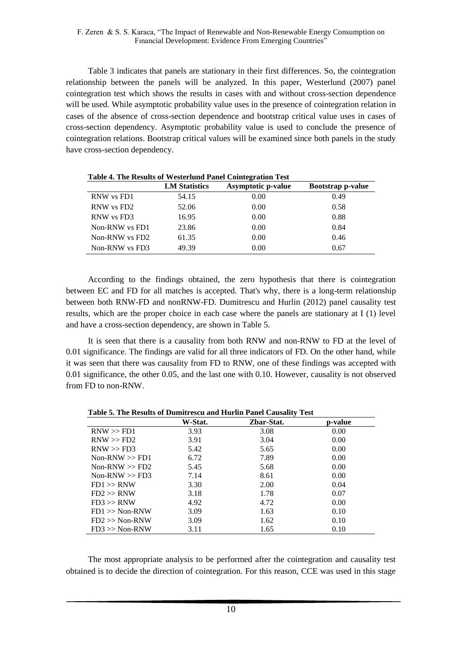Table 3 indicates that panels are stationary in their first differences. So, the cointegration relationship between the panels will be analyzed. In this paper, Westerlund (2007) panel cointegration test which shows the results in cases with and without cross-section dependence will be used. While asymptotic probability value uses in the presence of cointegration relation in cases of the absence of cross-section dependence and bootstrap critical value uses in cases of cross-section dependency. Asymptotic probability value is used to conclude the presence of cointegration relations. Bootstrap critical values will be examined since both panels in the study have cross-section dependency.

|                | <b>LM Statistics</b> | <b>Asymptotic p-value</b> | <b>Bootstrap p-value</b> |
|----------------|----------------------|---------------------------|--------------------------|
| RNW vs FD1     | 54.15                | 0.00                      | 0.49                     |
| RNW vs FD2     | 52.06                | 0.00                      | 0.58                     |
| RNW vs FD3     | 16.95                | 0.00                      | 0.88                     |
| Non-RNW vs FD1 | 23.86                | 0.00                      | 0.84                     |
| Non-RNW vs FD2 | 61.35                | 0.00                      | 0.46                     |
| Non-RNW vs FD3 | 49.39                | 0.00                      | 0.67                     |

**Table 4. The Results of Westerlund Panel Cointegration Test**

According to the findings obtained, the zero hypothesis that there is cointegration between EC and FD for all matches is accepted. That's why, there is a long-term relationship between both RNW-FD and nonRNW-FD. Dumitrescu and Hurlin (2012) panel causality test results, which are the proper choice in each case where the panels are stationary at I (1) level and have a cross-section dependency, are shown in Table 5.

It is seen that there is a causality from both RNW and non-RNW to FD at the level of 0.01 significance. The findings are valid for all three indicators of FD. On the other hand, while it was seen that there was causality from FD to RNW, one of these findings was accepted with 0.01 significance, the other 0.05, and the last one with 0.10. However, causality is not observed from FD to non-RNW.

| p-value |
|---------|
|         |
| 0.00    |
| 0.00    |
| 0.00    |
| 0.00    |
| 0.00    |
| 0.00    |
| 0.04    |
| 0.07    |
| 0.00    |
| 0.10    |
| 0.10    |
| 0.10    |
|         |

**Table 5. The Results of Dumitrescu and Hurlin Panel Causality Test**

The most appropriate analysis to be performed after the cointegration and causality test obtained is to decide the direction of cointegration. For this reason, CCE was used in this stage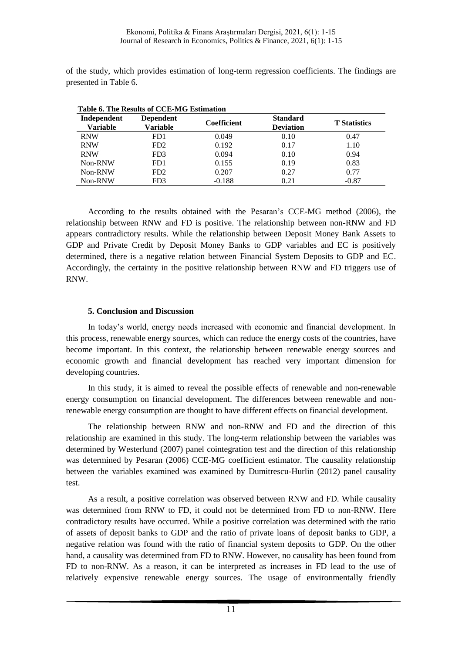of the study, which provides estimation of long-term regression coefficients. The findings are presented in Table 6.

| Table 6. The Results of CCE-MG Estimation |                                     |                    |                                     |                     |  |  |
|-------------------------------------------|-------------------------------------|--------------------|-------------------------------------|---------------------|--|--|
| Independent<br><b>Variable</b>            | <b>Dependent</b><br><b>Variable</b> | <b>Coefficient</b> | <b>Standard</b><br><b>Deviation</b> | <b>T</b> Statistics |  |  |
| <b>RNW</b>                                | FD1                                 | 0.049              | 0.10                                | 0.47                |  |  |
| <b>RNW</b>                                | FD <sub>2</sub>                     | 0.192              | 0.17                                | 1.10                |  |  |
| <b>RNW</b>                                | FD3                                 | 0.094              | 0.10                                | 0.94                |  |  |
| Non-RNW                                   | FD1                                 | 0.155              | 0.19                                | 0.83                |  |  |
| Non-RNW                                   | FD <sub>2</sub>                     | 0.207              | 0.27                                | 0.77                |  |  |
| Non-RNW                                   | FD3                                 | $-0.188$           | 0.21                                | $-0.87$             |  |  |

According to the results obtained with the Pesaran's CCE-MG method (2006), the relationship between RNW and FD is positive. The relationship between non-RNW and FD appears contradictory results. While the relationship between Deposit Money Bank Assets to GDP and Private Credit by Deposit Money Banks to GDP variables and EC is positively determined, there is a negative relation between Financial System Deposits to GDP and EC. Accordingly, the certainty in the positive relationship between RNW and FD triggers use of RNW.

## **5. Conclusion and Discussion**

In today's world, energy needs increased with economic and financial development. In this process, renewable energy sources, which can reduce the energy costs of the countries, have become important. In this context, the relationship between renewable energy sources and economic growth and financial development has reached very important dimension for developing countries.

In this study, it is aimed to reveal the possible effects of renewable and non-renewable energy consumption on financial development. The differences between renewable and nonrenewable energy consumption are thought to have different effects on financial development.

The relationship between RNW and non-RNW and FD and the direction of this relationship are examined in this study. The long-term relationship between the variables was determined by Westerlund (2007) panel cointegration test and the direction of this relationship was determined by Pesaran (2006) CCE-MG coefficient estimator. The causality relationship between the variables examined was examined by Dumitrescu-Hurlin (2012) panel causality test.

As a result, a positive correlation was observed between RNW and FD. While causality was determined from RNW to FD, it could not be determined from FD to non-RNW. Here contradictory results have occurred. While a positive correlation was determined with the ratio of assets of deposit banks to GDP and the ratio of private loans of deposit banks to GDP, a negative relation was found with the ratio of financial system deposits to GDP. On the other hand, a causality was determined from FD to RNW. However, no causality has been found from FD to non-RNW. As a reason, it can be interpreted as increases in FD lead to the use of relatively expensive renewable energy sources. The usage of environmentally friendly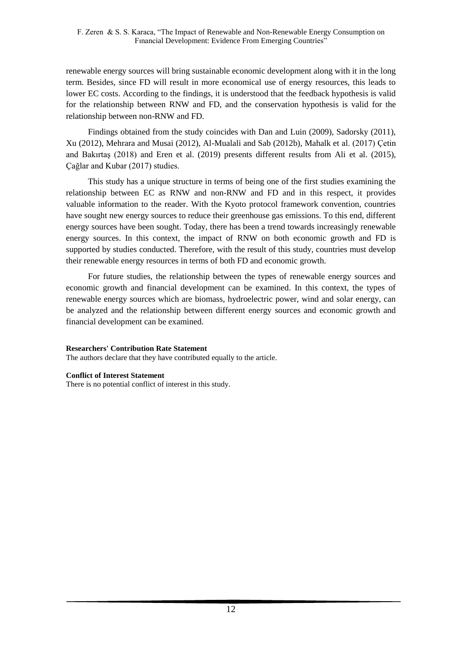renewable energy sources will bring sustainable economic development along with it in the long term. Besides, since FD will result in more economical use of energy resources, this leads to lower EC costs. According to the findings, it is understood that the feedback hypothesis is valid for the relationship between RNW and FD, and the conservation hypothesis is valid for the relationship between non-RNW and FD.

Findings obtained from the study coincides with Dan and Luin (2009), Sadorsky (2011), Xu (2012), Mehrara and Musai (2012), Al-Mualali and Sab (2012b), Mahalk et al. (2017) Çetin and Bakırtaş (2018) and Eren et al. (2019) presents different results from Ali et al. (2015), Çağlar and Kubar (2017) studies.

This study has a unique structure in terms of being one of the first studies examining the relationship between EC as RNW and non-RNW and FD and in this respect, it provides valuable information to the reader. With the Kyoto protocol framework convention, countries have sought new energy sources to reduce their greenhouse gas emissions. To this end, different energy sources have been sought. Today, there has been a trend towards increasingly renewable energy sources. In this context, the impact of RNW on both economic growth and FD is supported by studies conducted. Therefore, with the result of this study, countries must develop their renewable energy resources in terms of both FD and economic growth.

For future studies, the relationship between the types of renewable energy sources and economic growth and financial development can be examined. In this context, the types of renewable energy sources which are biomass, hydroelectric power, wind and solar energy, can be analyzed and the relationship between different energy sources and economic growth and financial development can be examined.

### **Researchers' Contribution Rate Statement**

The authors declare that they have contributed equally to the article.

### **Conflict of Interest Statement**

There is no potential conflict of interest in this study.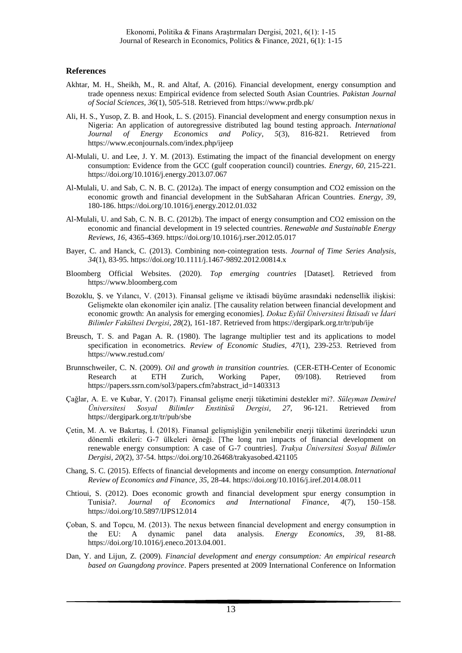#### **References**

- Akhtar, M. H., Sheikh, M., R. and Altaf, A. (2016). Financial development, energy consumption and trade openness nexus: Empirical evidence from selected South Asian Countries. *Pakistan Journal of Social Sciences, 36*(1), 505-518. Retrieved from https://www.prdb.pk/
- Ali, H. S., Yusop, Z. B. and Hook, L. S. (2015). Financial development and energy consumption nexus in Nigeria: An application of autoregressive distributed lag bound testing approach. *International Journal of Energy Economics and Policy*, *5*(3), 816-821. Retrieved from https://www.econjournals.com/index.php/ijeep
- Al-Mulali, U. and Lee, J. Y. M. (2013). Estimating the impact of the financial development on energy consumption: Evidence from the GCC (gulf cooperation council) countries. *Energy, 60*, 215-221. <https://doi.org/10.1016/j.energy.2013.07.067>
- Al-Mulali, U. and Sab, C. N. B. C. (2012a). The impact of energy consumption and CO2 emission on the economic growth and financial development in the SubSaharan African Countries. *Energy, 39*, 180-186. https://doi.org/10.1016/j.energy.2012.01.032
- Al-Mulali, U. and Sab, C. N. B. C. (2012b). The impact of energy consumption and CO2 emission on the economic and financial development in 19 selected countries. *Renewable and Sustainable Energy Reviews, 16*, 4365-4369. https://doi.org/10.1016/j.rser.2012.05.017
- Bayer, C. and Hanck, C. (2013). Combining non‐cointegration tests. *Journal of Time Series Analysis, 34*(1), 83-95. https://doi.org/10.1111/j.1467-9892.2012.00814.x
- Bloomberg Official Websites. (2020). *Top emerging countries* [Dataset]. Retrieved from https://www.bloomberg.com
- Bozoklu, Ş. ve Yılancı, V. (2013). Finansal gelişme ve iktisadi büyüme arasındaki nedensellik ilişkisi: Gelişmekte olan ekonomiler için analiz. [The causality relation between financial development and economic growth: An analysis for emerging economies]. *Dokuz Eylül Üniversitesi İktisadi ve İdari Bilimler Fakültesi Dergisi, 28*(2), 161-187. Retrieved from https://dergipark.org.tr/tr/pub/ije
- Breusch, T. S. and Pagan A. R. (1980). The lagrange multiplier test and its applications to model specification in econometrics. *Review of Economic Studies, 47*(1), 239-253. Retrieved from https://www.restud.com/
- Brunnschweiler, C. N. (2009). *Oil and growth in transition countries.* (CER-ETH-Center of Economic Research at ETH Zurich, Working Paper, 09/108). Retrieved from https://papers.ssrn.com/sol3/papers.cfm?abstract\_id=1403313
- Çağlar, A. E. ve Kubar, Y. (2017). Finansal gelişme enerji tüketimini destekler mi?. *Süleyman Demirel Üniversitesi Sosyal Bilimler Enstitüsü Dergisi, 27*, 96-121. Retrieved from https://dergipark.org.tr/tr/pub/sbe
- Çetin, M. A. ve Bakırtaş, İ. (2018). Finansal gelişmişliğin yenilenebilir enerji tüketimi üzerindeki uzun dönemli etkileri: G-7 ülkeleri örneği. [The long run impacts of financial development on renewable energy consumption: A case of G-7 countries]. *Trakya Üniversitesi Sosyal Bilimler Dergisi, 20*(2), 37-54. https://doi.org/10.26468/trakyasobed.421105
- Chang, S. C. (2015). Effects of financial developments and income on energy consumption. *International Review of Economics and Finance, 35*, 28-44. https://doi.org/10.1016/j.iref.2014.08.011
- Chtioui, S. (2012). Does economic growth and financial development spur energy consumption in Tunisia?. *Journal of Economics and International Finance*, *4*(7), 150–158. https://doi.org/10.5897/IJPS12.014
- Çoban, S. and Topcu, M. (2013). The nexus between financial development and energy consumption in the EU: A dynamic panel data analysis. *Energy Economics*, *39*, 81-88. https://doi.org/10.1016/j.eneco.2013.04.001.
- Dan, Y. and Lijun, Z. (2009). *Financial development and energy consumption: An empirical research based on Guangdong province*. Papers presented at 2009 International Conference on Information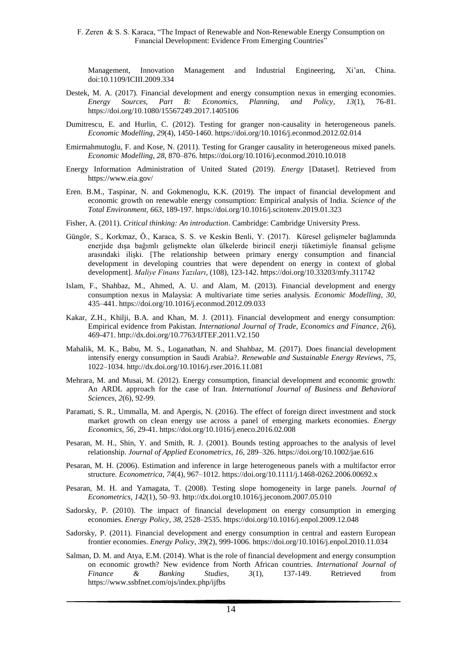Management, Innovation Management and Industrial Engineering, Xi'an, China. doi:10.1109/ICIII.2009.334

- Destek, M. A. (2017). Financial development and energy consumption nexus in emerging economies. *Energy Sources, Part B: Economics, Planning, and Policy*, *13*(1), 76-81. https://doi.org/10.1080/15567249.2017.1405106
- Dumitrescu, E. and Hurlin, C. (2012). Testing for granger non-causality in heterogeneous panels. *Economic Modelling*, *29*(4), 1450-1460. https://doi.org/10.1016/j.econmod.2012.02.014
- Emirmahmutoglu, F. and Kose, N. (2011). Testing for Granger causality in heterogeneous mixed panels. *Economic Modelling*, *28*, 870–876. https://doi.org/10.1016/j.econmod.2010.10.018
- Energy Information Administration of United Stated (2019). *Energy* [Dataset]. Retrieved from https://www.eia.gov/
- Eren. B.M., Taspinar, N. and Gokmenoglu, K.K. (2019). The impact of financial development and economic growth on renewable energy consumption: Empirical analysis of India. *Science of the Total Environment, 663*, 189-197.<https://doi.org/10.1016/j.scitotenv.2019.01.323>
- Fisher, A. (2011). *Critical thinking: An introduction*. Cambridge: Cambridge University Press.
- Güngör, S., Korkmaz, Ö., Karaca, S. S. ve Keskin Benli, Y. (2017). Küresel gelişmeler bağlamında enerjide dışa bağımlı gelişmekte olan ülkelerde birincil enerji tüketimiyle finansal gelişme arasındaki ilişki. [The relationship between primary energy consumption and financial development in developing countries that were dependent on energy in context of global development]. *Maliye Finans Yazıları*, (108), 123-142. https://doi.org/10.33203/mfy.311742
- Islam, F., Shahbaz, M., Ahmed, A. U. and Alam, M. (2013). Financial development and energy consumption nexus in Malaysia: A multivariate time series analysis. *Economic Modelling*, *30*, 435–441. https://doi.org/10.1016/j.econmod.2012.09.033
- Kakar, Z.H., Khilji, B.A. and Khan, M. J. (2011). Financial development and energy consumption: Empirical evidence from Pakistan. *International Journal of Trade, Economics and Finance, 2*(6), 469-471. http://dx.doi.org/10.7763/IJTEF.2011.V2.150
- Mahalik, M. K., Babu, M. S., Loganathan, N. and Shahbaz, M. (2017). Does financial development intensify energy consumption in Saudi Arabia?. *Renewable and Sustainable Energy Reviews*, *75*, 1022–1034.<http://dx.doi.org/10.1016/j.rser.2016.11.081>
- Mehrara, M. and Musai, M. (2012). Energy consumption, financial development and economic growth: An ARDL approach for the case of Iran. *International Journal of Business and Behavioral Sciences, 2*(6), 92-99.
- Paramati, S. R., Ummalla, M. and Apergis, N. (2016). The effect of foreign direct investment and stock market growth on clean energy use across a panel of emerging markets economies. *Energy Economics, 56*, 29-41. https://doi.org/10.1016/j.eneco.2016.02.008
- Pesaran, M. H., Shin, Y. and Smith, R. J. (2001). Bounds testing approaches to the analysis of level relationship. *Journal of Applied Econometrics, 16*, 289–326. https://doi.org/10.1002/jae.616
- Pesaran, M. H. (2006). Estimation and inference in large heterogeneous panels with a multifactor error structure. *Econometrica*, *74*(4), 967–1012. https://doi.org/10.1111/j.1468-0262.2006.00692.x
- Pesaran, M. H. and Yamagata, T. (2008). Testing slope homogeneity in large panels. *Journal of Econometrics*, *142*(1), 50–93. http://dx.doi.org10.1016/j.jeconom.2007.05.010
- Sadorsky, P. (2010). The impact of financial development on energy consumption in emerging economies. *Energy Policy*, *38*, 2528–2535. https://doi.org/10.1016/j.enpol.2009.12.048
- Sadorsky, P. (2011). Financial development and energy consumption in central and eastern European frontier economies. *Energy Policy*, *39*(2), 999-1006. https://doi.org/10.1016/j.enpol.2010.11.034
- Salman, D. M. and Atya, E.M. (2014). What is the role of financial development and energy consumption on economic growth? New evidence from North African countries. *International Journal of Finance & Banking Studies*, *3*(1), 137-149. Retrieved from https://www.ssbfnet.com/ojs/index.php/ijfbs